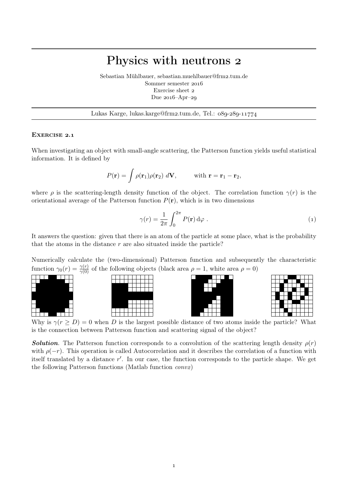## Physics with neutrons

Sebastian Mühlbauer, sebastian.muehlbauer@frm2.tum.de Sommer semester Exercise sheet Due  $2016$ –Apr–29

Lukas Karge, lukas.karge@frm2.tum.de, Tel.: 089-289-11774

## EXERCISE 2.1

When investigating an object with small-angle scattering, the Patterson function yields useful statistical information. It is defined by

$$
P(\mathbf{r}) = \int \rho(\mathbf{r}_1)\rho(\mathbf{r}_2) d\mathbf{V}, \quad \text{with } \mathbf{r} = \mathbf{r}_1 - \mathbf{r}_2,
$$

where  $\rho$  is the scattering-length density function of the object. The correlation function  $\gamma(r)$  is the orientational average of the Patterson function  $P(\mathbf{r})$ , which is in two dimensions

$$
\gamma(r) = \frac{1}{2\pi} \int_0^{2\pi} P(\mathbf{r}) \, d\varphi \; . \tag{1}
$$

It answers the question: given that there is an atom of the particle at some place, what is the probability that the atoms in the distance  $r$  are also situated inside the particle?

Numerically calculate the (two-dimensional) Patterson function and subsequently the characteristic function  $\gamma_0(r) = \frac{\gamma(r)}{\gamma(0)}$  of the following objects (black area  $\rho = 1$ , white area  $\rho = 0$ )









Why is  $\gamma(r \geq D) = 0$  when D is the largest possible distance of two atoms inside the particle? What is the connection between Patterson function and scattering signal of the object?

**Solution.** The Patterson function corresponds to a convolution of the scattering length density  $\rho(r)$ with  $\rho(-r)$ . This operation is called Autocorrelation and it describes the correlation of a function with itself translated by a distance  $r'$ . In our case, the function corresponds to the particle shape. We get the following Patterson functions (Matlab function  $convz$ )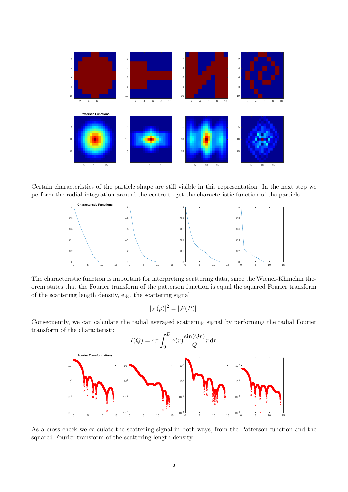

Certain characteristics of the particle shape are still visible in this representation. In the next step we perform the radial integration around the centre to get the characteristic function of the particle



The characteristic function is important for interpreting scattering data, since the Wiener-Khinchin theorem states that the Fourier transform of the patterson function is equal the squared Fourier transform of the scattering length density, e.g. the scattering signal

$$
|\mathcal{F}(\rho)|^2 = |\mathcal{F}(P)|.
$$

Consequently, we can calculate the radial averaged scattering signal by performing the radial Fourier transform of the characteristic



As a cross check we calculate the scattering signal in both ways, from the Patterson function and the squared Fourier transform of the scattering length density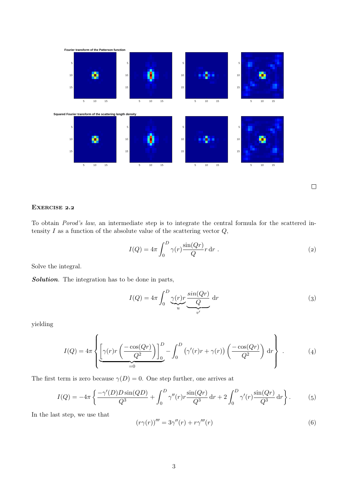

 $\Box$ 

## EXERCISE 2.2

To obtain Porod's law, an intermediate step is to integrate the central formula for the scattered intensity  $I$  as a function of the absolute value of the scattering vector  $Q$ ,

$$
I(Q) = 4\pi \int_0^D \gamma(r) \frac{\sin(Qr)}{Q} r \, dr \tag{2}
$$

Solve the integral.

Solution. The integration has to be done in parts,

$$
I(Q) = 4\pi \int_0^D \underbrace{\gamma(r)r}_{u} \underbrace{\sin(Qr)}_{v'} dr
$$
 (3)

yielding

$$
I(Q) = 4\pi \left\{ \underbrace{\left[ \gamma(r)r\left(\frac{-\cos(Qr)}{Q^2}\right) \right]_0^D}_{=0} - \int_0^D \left( \gamma'(r)r + \gamma(r) \right) \left( \frac{-\cos(Qr)}{Q^2} \right) \, \mathrm{d}r \right\} \,. \tag{4}
$$

The first term is zero because  $\gamma(D) = 0$ . One step further, one arrives at

$$
I(Q) = -4\pi \left\{ \frac{-\gamma'(D)D\sin(QD)}{Q^3} + \int_0^D \gamma''(r)r \frac{\sin(Qr)}{Q^3} dr + 2\int_0^D \gamma'(r)\frac{\sin(Qr)}{Q^3} dr \right\}.
$$
 (5)

In the last step, we use that

$$
(r\gamma(r))''' = 3\gamma''(r) + r\gamma'''(r)
$$
\n(6)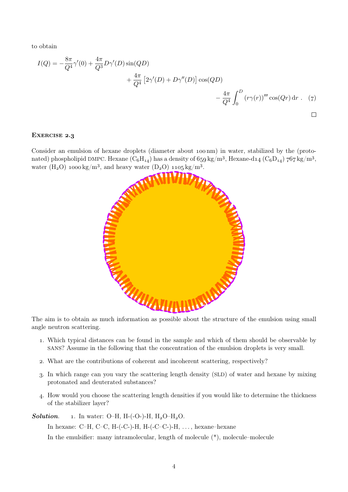to obtain

$$
I(Q) = -\frac{8\pi}{Q^4} \gamma'(0) + \frac{4\pi}{Q^3} D\gamma'(D) \sin(QD)
$$
  
+  $\frac{4\pi}{Q^4} [2\gamma'(D) + D\gamma''(D)] \cos(QD)$   
-  $\frac{4\pi}{Q^4} \int_0^D (r\gamma(r))''' \cos(Qr) dr$ . (7)

## EXERCISE 2.3

Consider an emulsion of hexane droplets (diameter about 100 nm) in water, stabilized by the (protonated) phospholipid DMPC. Hexane  $(C_6H_{14})$  has a density of  $659 \text{ kg/m}^3$ , Hexane-d14  $(C_6D_{14})$  767 kg/m<sup>3</sup>, water (H<sub>2</sub>O) 1000 kg/m<sup>3</sup>, and heavy water (D<sub>2</sub>O) 1105 kg/m<sup>3</sup>.



The aim is to obtain as much information as possible about the structure of the emulsion using small angle neutron scattering.

- . Which typical distances can be found in the sample and which of them should be observable by SANS? Assume in the following that the concentration of the emulsion droplets is very small.
- . What are the contributions of coherent and incoherent scattering, respectively?
- . In which range can you vary the scattering length density (SLD) of water and hexane by mixing protonated and deuterated substances?
- . How would you choose the scattering length densities if you would like to determine the thickness of the stabilizer layer?

**Solution.** 1. In water: O–H, H-(-O-)-H,  $H_2O-H_2O$ .

In hexane: C–H, C–C, H–(-C–)-H, H–(-C–C–)-H, ..., hexane–hexane

In the emulsifier: many intramolecular, length of molecule (\*), molecule–molecule